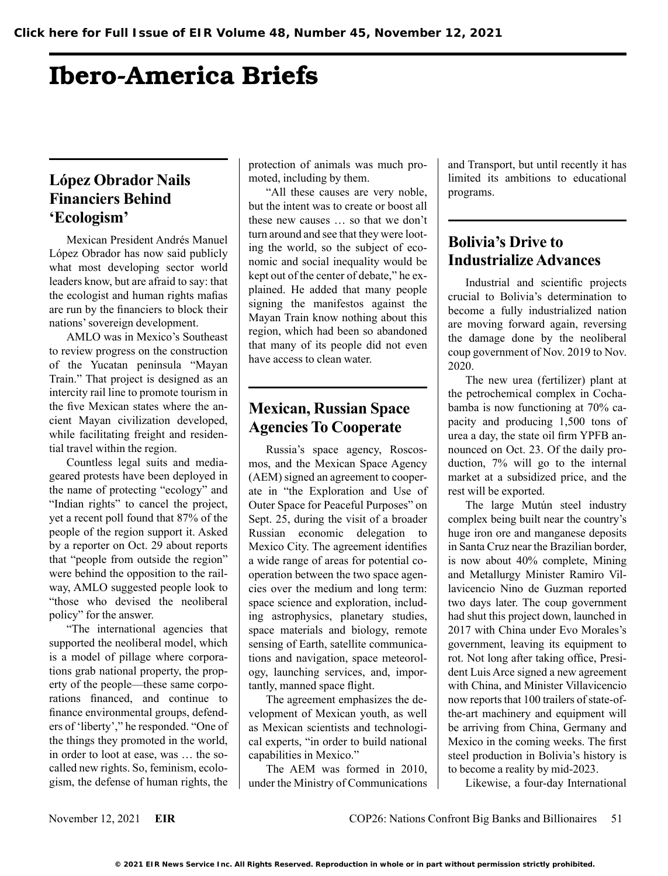# Ibero-America Briefs

### **López Obrador Nails Financiers Behind 'Ecologism'**

Mexican President Andrés Manuel López Obrador has now said publicly what most developing sector world leaders know, but are afraid to say: that the ecologist and human rights mafias are run by the financiers to block their nations' sovereign development.

AMLO was in Mexico's Southeast to review progress on the construction of the Yucatan peninsula "Mayan Train." That project is designed as an intercity rail line to promote tourism in the five Mexican states where the ancient Mayan civilization developed, while facilitating freight and residential travel within the region.

Countless legal suits and mediageared protests have been deployed in the name of protecting "ecology" and "Indian rights" to cancel the project, yet a recent poll found that 87% of the people of the region support it. Asked by a reporter on Oct. 29 about reports that "people from outside the region" were behind the opposition to the railway, AMLO suggested people look to "those who devised the neoliberal policy" for the answer.

"The international agencies that supported the neoliberal model, which is a model of pillage where corporations grab national property, the property of the people—these same corporations financed, and continue to finance environmental groups, defenders of 'liberty'," he responded. "One of the things they promoted in the world, in order to loot at ease, was … the socalled new rights. So, feminism, ecologism, the defense of human rights, the protection of animals was much promoted, including by them.

"All these causes are very noble, but the intent was to create or boost all these new causes … so that we don't turn around and see that they were looting the world, so the subject of economic and social inequality would be kept out of the center of debate," he explained. He added that many people signing the manifestos against the Mayan Train know nothing about this region, which had been so abandoned that many of its people did not even have access to clean water.

## **Mexican, Russian Space Agencies To Cooperate**

Russia's space agency, Roscosmos, and the Mexican Space Agency (AEM) signed an agreement to cooperate in "the Exploration and Use of Outer Space for Peaceful Purposes" on Sept. 25, during the visit of a broader Russian economic delegation to Mexico City. The agreement identifies a wide range of areas for potential cooperation between the two space agencies over the medium and long term: space science and exploration, including astrophysics, planetary studies, space materials and biology, remote sensing of Earth, satellite communications and navigation, space meteorology, launching services, and, importantly, manned space flight.

The agreement emphasizes the development of Mexican youth, as well as Mexican scientists and technological experts, "in order to build national capabilities in Mexico."

The AEM was formed in 2010, under the Ministry of Communications and Transport, but until recently it has limited its ambitions to educational programs.

## **Bolivia's Drive to Industrialize Advances**

Industrial and scientific projects crucial to Bolivia's determination to become a fully industrialized nation are moving forward again, reversing the damage done by the neoliberal coup government of Nov. 2019 to Nov. 2020.

The new urea (fertilizer) plant at the petrochemical complex in Cochabamba is now functioning at 70% capacity and producing 1,500 tons of urea a day, the state oil firm YPFB announced on Oct. 23. Of the daily production, 7% will go to the internal market at a subsidized price, and the rest will be exported.

The large Mutún steel industry complex being built near the country's huge iron ore and manganese deposits in Santa Cruz near the Brazilian border, is now about 40% complete, Mining and Metallurgy Minister Ramiro Villavicencio Nino de Guzman reported two days later. The coup government had shut this project down, launched in 2017 with China under Evo Morales's government, leaving its equipment to rot. Not long after taking office, President Luis Arce signed a new agreement with China, and Minister Villavicencio now reports that 100 trailers of state-ofthe-art machinery and equipment will be arriving from China, Germany and Mexico in the coming weeks. The first steel production in Bolivia's history is to become a reality by mid-2023.

Likewise, a four-day International

November 12, 2021 **EIR** COP26: Nations Confront Big Banks and Billionaires 51